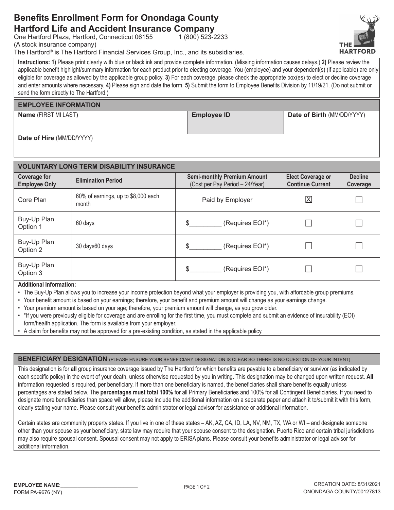## **Benefits Enrollment Form for Onondaga County Hartford Life and Accident Insurance Company**

One Hartford Plaza, Hartford, Connecticut 06155

(A stock insurance company)

The Hartford® is The Hartford Financial Services Group, Inc., and its subsidiaries.

Instructions: 1) Please print clearly with blue or black ink and provide complete information. (Missing information causes delays.) 2) Please review the applicable benefit highlight/summary information for each product prior to electing coverage. You (employee) and your dependent(s) (if applicable) are only eligible for coverage as allowed by the applicable group policy. 3) For each coverage, please check the appropriate box(es) to elect or decline coverage and enter amounts where necessary. 4) Please sign and date the form. 5) Submit the form to Employee Benefits Division by 11/19/21. (Do not submit or send the form directly to The Hartford.)

1 (800) 523-2233

### **EMPLOYEE INFORMATION**

Name (FIRST MI LAST)

**Employee ID** 

Date of Birth (MM/DD/YYYY)

Date of Hire (MM/DD/YYYY)

| <b>VOLUNTARY LONG TERM DISABILITY INSURANCE</b> |                                              |                                                                       |                                                     |                            |  |  |  |  |
|-------------------------------------------------|----------------------------------------------|-----------------------------------------------------------------------|-----------------------------------------------------|----------------------------|--|--|--|--|
| <b>Coverage for</b><br><b>Employee Only</b>     | <b>Elimination Period</b>                    | <b>Semi-monthly Premium Amount</b><br>(Cost per Pay Period - 24/Year) | <b>Elect Coverage or</b><br><b>Continue Current</b> | <b>Decline</b><br>Coverage |  |  |  |  |
| Core Plan                                       | 60% of earnings, up to \$8,000 each<br>month | Paid by Employer                                                      | $\overline{\mathsf{X}}$                             |                            |  |  |  |  |
| Buy-Up Plan<br>Option 1                         | 60 days                                      | (Requires EOI*)<br>\$.                                                |                                                     |                            |  |  |  |  |
| Buy-Up Plan<br>Option 2                         | 30 days60 days                               | (Requires EOI*)<br>\$.                                                |                                                     |                            |  |  |  |  |
| Buy-Up Plan<br>Option 3                         |                                              | (Requires EOI*)                                                       |                                                     |                            |  |  |  |  |

#### **Additional Information:**

- The Buy-Up Plan allows you to increase your income protection beyond what your employer is providing you, with affordable group premiums.
- Your benefit amount is based on your earnings; therefore, your benefit and premium amount will change as your earnings change.
- . Your premium amount is based on your age; therefore, your premium amount will change, as you grow older.
- . \* If you were previously eligible for coverage and are enrolling for the first time, you must complete and submit an evidence of insurability (EOI) form/health application. The form is available from your employer.
- A claim for benefits may not be approved for a pre-existing condition, as stated in the applicable policy.

**BENEFICIARY DESIGNATION** (PLEASE ENSURE YOUR BENEFICIARY DESIGNATION IS CLEAR SO THERE IS NO QUESTION OF YOUR INTENT)

This designation is for all group insurance coverage issued by The Hartford for which benefits are payable to a beneficiary or survivor (as indicated by each specific policy) in the event of your death, unless otherwise requested by you in writing. This designation may be changed upon written request. All information requested is required, per beneficiary. If more than one beneficiary is named, the beneficiaries shall share benefits equally unless percentages are stated below. The percentages must total 100% for all Primary Beneficiaries and 100% for all Contingent Beneficiaries. If you need to designate more beneficiaries than space will allow, please include the additional information on a separate paper and attach it to/submit it with this form, clearly stating your name. Please consult your benefits administrator or legal advisor for assistance or additional information.

Certain states are community property states. If you live in one of these states - AK, AZ, CA, ID, LA, NV, NM, TX, WA or WI - and designate someone other than your spouse as your beneficiary, state law may require that your spouse consent to the designation. Puerto Rico and certain tribal jurisdictions may also require spousal consent. Spousal consent may not apply to ERISA plans. Please consult your benefits administrator or legal advisor for additional information.

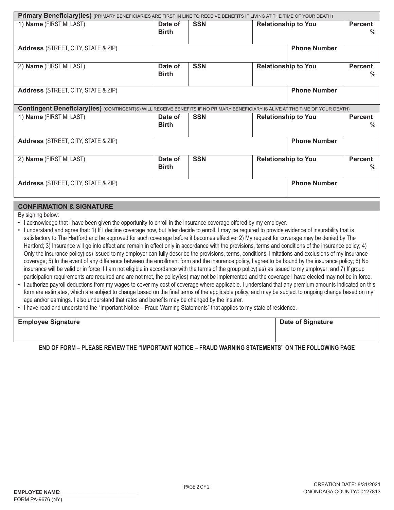| Primary Beneficiary(ies) (PRIMARY BENEFICIARIES ARE FIRST IN LINE TO RECEIVE BENEFITS IF LIVING AT THE TIME OF YOUR DEATH)             |                         |            |                                                      |                     |                        |  |  |
|----------------------------------------------------------------------------------------------------------------------------------------|-------------------------|------------|------------------------------------------------------|---------------------|------------------------|--|--|
| 1) Name (FIRST MI LAST)                                                                                                                | Date of<br><b>Birth</b> | <b>SSN</b> | <b>Relationship to You</b>                           |                     | <b>Percent</b><br>$\%$ |  |  |
| <b>Address</b> (STREET, CITY, STATE & ZIP)                                                                                             | <b>Phone Number</b>     |            |                                                      |                     |                        |  |  |
| 2) Name (FIRST MI LAST)                                                                                                                | Date of<br><b>Birth</b> | <b>SSN</b> | <b>Relationship to You</b><br><b>Percent</b>         |                     | ℅                      |  |  |
| <b>Phone Number</b><br><b>Address</b> (STREET, CITY, STATE & ZIP)                                                                      |                         |            |                                                      |                     |                        |  |  |
| <b>Contingent Beneficiary (ies)</b> (CONTINGENT(S) WILL RECEIVE BENEFITS IF NO PRIMARY BENEFICIARY IS ALIVE AT THE TIME OF YOUR DEATH) |                         |            |                                                      |                     |                        |  |  |
| 1) Name (FIRST MI LAST)                                                                                                                | Date of<br><b>Birth</b> | <b>SSN</b> | <b>Relationship to You</b><br><b>Percent</b><br>$\%$ |                     |                        |  |  |
| <b>Address</b> (STREET, CITY, STATE & ZIP)                                                                                             |                         |            |                                                      | <b>Phone Number</b> |                        |  |  |
| 2) Name (FIRST MI LAST)                                                                                                                | Date of<br><b>Birth</b> | <b>SSN</b> | <b>Relationship to You</b><br><b>Percent</b><br>$\%$ |                     |                        |  |  |
| <b>Address</b> (STREET, CITY, STATE & ZIP)                                                                                             |                         |            |                                                      | <b>Phone Number</b> |                        |  |  |

### **CONFIRMATION & SIGNATURE**

By signing below:

- I acknowledge that I have been given the opportunity to enroll in the insurance coverage offered by my employer.
- · I understand and agree that: 1) If I decline coverage now, but later decide to enroll, I may be required to provide evidence of insurability that is satisfactory to The Hartford and be approved for such coverage before it becomes effective; 2) My request for coverage may be denied by The Hartford; 3) Insurance will go into effect and remain in effect only in accordance with the provisions, terms and conditions of the insurance policy; 4) Only the insurance policy(ies) issued to my employer can fully describe the provisions, terms, conditions, limitations and exclusions of my insurance coverage; 5) In the event of any difference between the enrollment form and the insurance policy, I agree to be bound by the insurance policy; 6) No insurance will be valid or in force if I am not eligible in accordance with the terms of the group policy(ies) as issued to my employer; and 7) If group participation requirements are required and are not met, the policy(ies) may not be implemented and the coverage I have elected may not be in force.
- I authorize payroll deductions from my wages to cover my cost of coverage where applicable. I understand that any premium amounts indicated on this form are estimates, which are subject to change based on the final terms of the applicable policy, and may be subject to ongoing change based on my age and/or earnings. I also understand that rates and benefits may be changed by the insurer.
- . I have read and understand the "Important Notice Fraud Warning Statements" that applies to my state of residence.

| <b>Employee Signature</b> | <b>Date of Signature</b> |
|---------------------------|--------------------------|
|                           |                          |
|                           |                          |

END OF FORM – PLEASE REVIEW THE "IMPORTANT NOTICE – FRAUD WARNING STATEMENTS" ON THE FOLLOWING PAGE